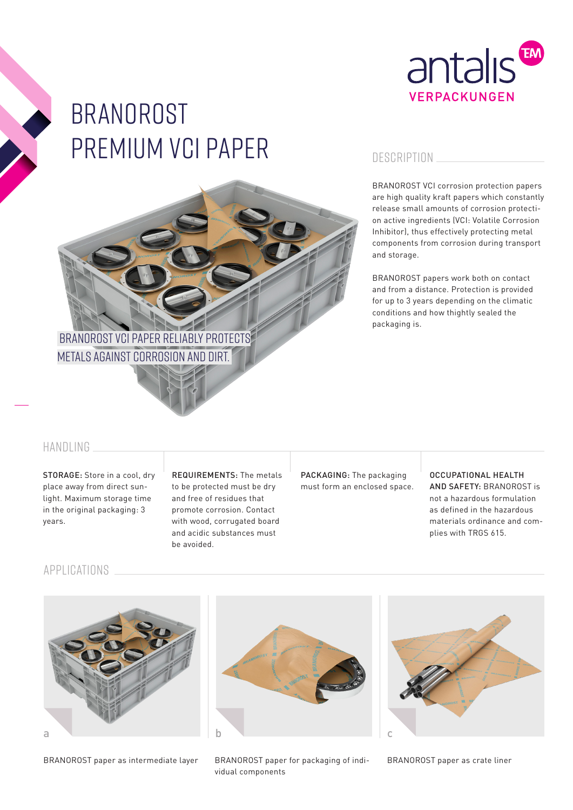

# BRANOROST premium vci paper

# Branorost VCI paper reliably protects metals against corrosion and dirt.

## **DESCRIPTION**

BRANOROST VCI corrosion protection papers are high quality kraft papers which constantly release small amounts of corrosion protection active ingredients (VCI: Volatile Corrosion Inhibitor), thus effectively protecting metal components from corrosion during transport and storage.

BRANOROST papers work both on contact and from a distance. Protection is provided for up to 3 years depending on the climatic conditions and how thightly sealed the packaging is.

## HANDLING

STORAGE: Store in a cool, dry place away from direct sunlight. Maximum storage time in the original packaging: 3 years.

REQUIREMENTS: The metals to be protected must be dry and free of residues that promote corrosion. Contact with wood, corrugated board and acidic substances must be avoided.

PACKAGING: The packaging must form an enclosed space.

#### OCCUPATIONAL HEALTH AND SAFETY: BRANOROST is not a hazardous formulation as defined in the hazardous materials ordinance and complies with TRGS 615.

## APPLICATIONS



BRANOROST paper as intermediate layer



BRANOROST paper for packaging of individual components



BRANOROST paper as crate liner